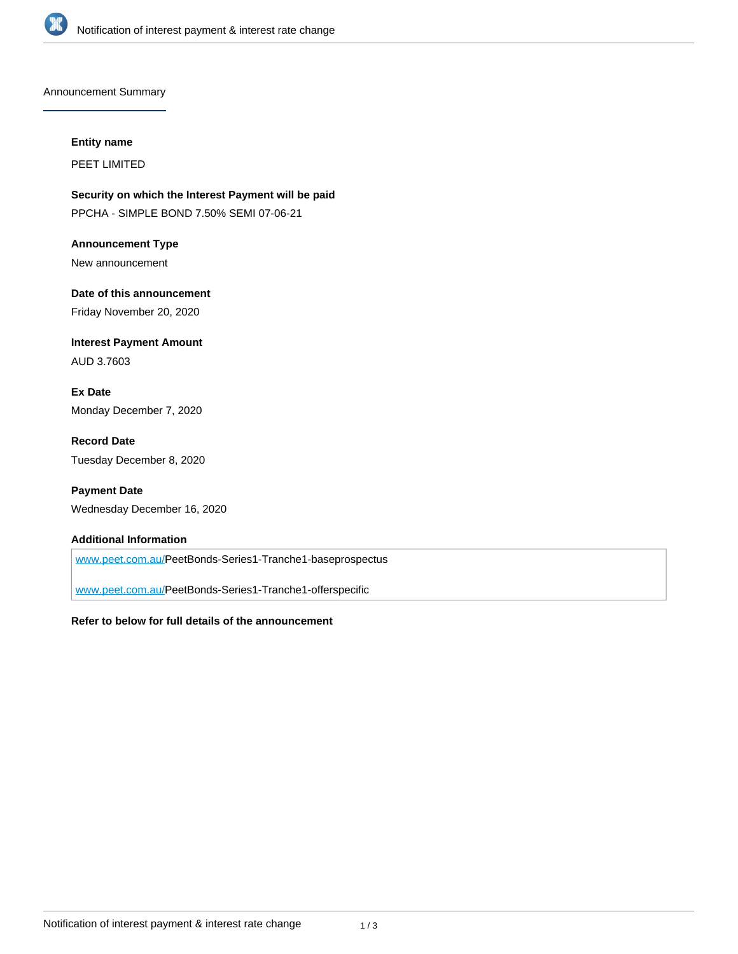

Announcement Summary

#### **Entity name**

PEET LIMITED

**Security on which the Interest Payment will be paid** PPCHA - SIMPLE BOND 7.50% SEMI 07-06-21

**Announcement Type** New announcement

**Date of this announcement** Friday November 20, 2020

**Interest Payment Amount** AUD 3.7603

**Ex Date** Monday December 7, 2020

**Record Date** Tuesday December 8, 2020

**Payment Date** Wednesday December 16, 2020

#### **Additional Information**

[www.peet.com.au/P](http://www.peet.com.au/)eetBonds-Series1-Tranche1-baseprospectus

[www.peet.com.au/P](http://www.peet.com.au/)eetBonds-Series1-Tranche1-offerspecific

#### **Refer to below for full details of the announcement**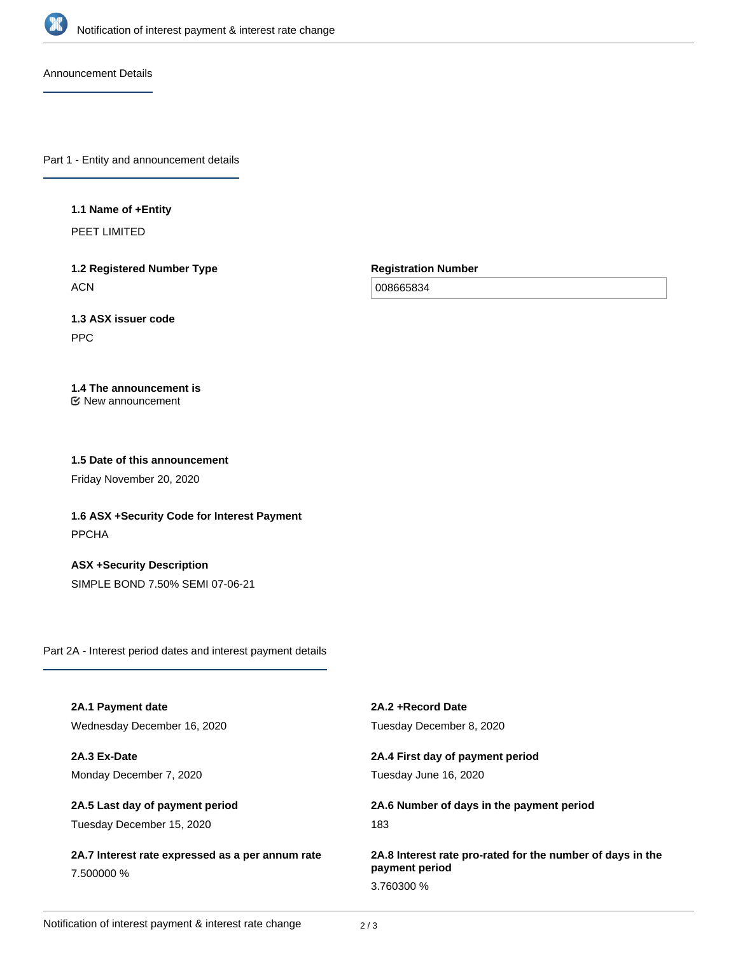

Announcement Details

Part 1 - Entity and announcement details

### **1.1 Name of +Entity**

PEET LIMITED

**1.2 Registered Number Type ACN** 

**Registration Number**

008665834

# **1.3 ASX issuer code**

PPC

# **1.4 The announcement is**

New announcement

### **1.5 Date of this announcement**

Friday November 20, 2020

**1.6 ASX +Security Code for Interest Payment** PPCHA

**ASX +Security Description** SIMPLE BOND 7.50% SEMI 07-06-21

Part 2A - Interest period dates and interest payment details

| 2A.1 Payment date                                              | 2A.2 + Record Date                                                           |
|----------------------------------------------------------------|------------------------------------------------------------------------------|
| Wednesday December 16, 2020                                    | Tuesday December 8, 2020                                                     |
| 2A.3 Ex-Date                                                   | 2A.4 First day of payment period                                             |
| Monday December 7, 2020                                        | Tuesday June 16, 2020                                                        |
| 2A.5 Last day of payment period                                | 2A.6 Number of days in the payment period                                    |
| Tuesday December 15, 2020                                      | 183                                                                          |
| 2A.7 Interest rate expressed as a per annum rate<br>7.500000 % | 2A.8 Interest rate pro-rated for the number of days in the<br>payment period |
|                                                                | 3.760300 %                                                                   |
|                                                                |                                                                              |